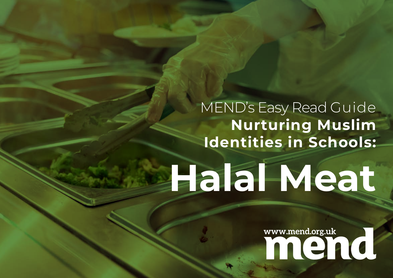#### MEND's Easy Read Guide **Nurturing Muslim Identities in Schools:**

## **Halal Meat**

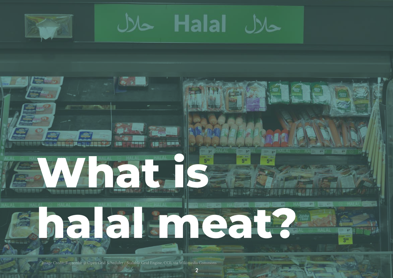

**Halal** 



**2**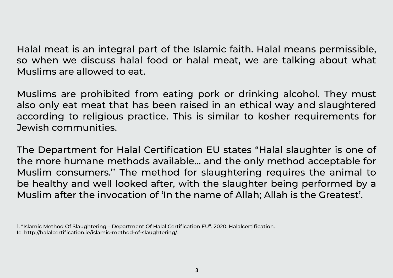Halal meat is an integral part of the Islamic faith. Halal means permissible, so when we discuss halal food or halal meat, we are talking about what Muslims are allowed to eat.

Muslims are prohibited from eating pork or drinking alcohol. They must also only eat meat that has been raised in an ethical way and slaughtered according to religious practice. This is similar to kosher requirements for Jewish communities.

The Department for Halal Certification EU states "Halal slaughter is one of the more humane methods available… and the only method acceptable for Muslim consumers.'' The method for slaughtering requires the animal to be healthy and well looked after, with the slaughter being performed by a Muslim after the invocation of 'In the name of Allah; Allah is the Greatest'.

<sup>1. &</sup>quot;Islamic Method Of Slaughtering – Department Of Halal Certification EU". 2020. Halalcertification. Ie. http://halalcertification.ie/islamic-method-of-slaughtering/.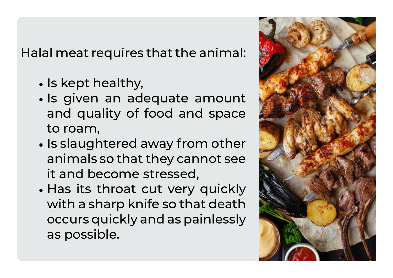Halal meat requires that the animal:

- Is kept healthy,
- Is given an adequate amount and quality of food and space to roam,
- animals so that they cannot see the state of the state of the state of the state of the state of the state of t **improved well-being and improved served sense of building values of building values of the sense of building values** it and become stressed, • Is slaughtered away from other animals so that they cannot see
- **• If Muslims feel their workplace is supportive in Ramadan, they**  with a sharp knife so that death • Has its throat cut very quickly occurs quickly and as painlessly as possible.

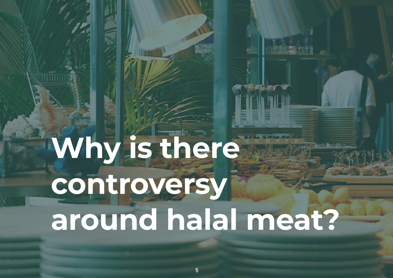### **Why is there controversy around halal meat?**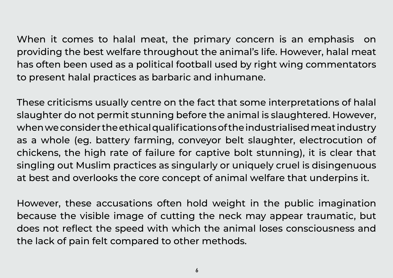When it comes to halal meat, the primary concern is an emphasis on providing the best welfare throughout the animal's life. However, halal meat has often been used as a political football used by right wing commentators to present halal practices as barbaric and inhumane.

These criticisms usually centre on the fact that some interpretations of halal slaughter do not permit stunning before the animal is slaughtered. However, when we consider the ethical qualifications of the industrialised meat industry as a whole (eg. battery farming, conveyor belt slaughter, electrocution of chickens, the high rate of failure for captive bolt stunning), it is clear that singling out Muslim practices as singularly or uniquely cruel is disingenuous at best and overlooks the core concept of animal welfare that underpins it.

However, these accusations often hold weight in the public imagination because the visible image of cutting the neck may appear traumatic, but does not reflect the speed with which the animal loses consciousness and the lack of pain felt compared to other methods.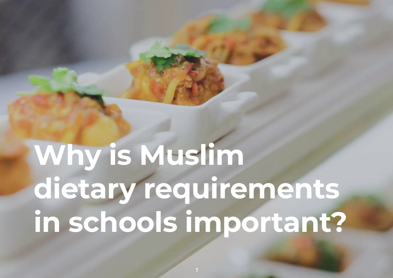### **Why is Muslim dietary requirements in schools important?**

**7**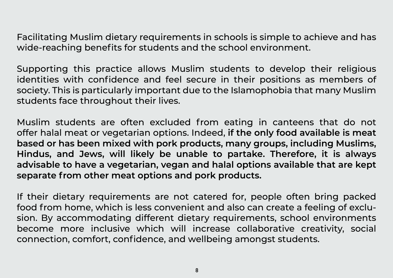Facilitating Muslim dietary requirements in schools is simple to achieve and has wide-reaching benefits for students and the school environment.

Supporting this practice allows Muslim students to develop their religious identities with confidence and feel secure in their positions as members of society. This is particularly important due to the Islamophobia that many Muslim students face throughout their lives.

Muslim students are often excluded from eating in canteens that do not offer halal meat or vegetarian options. Indeed, **if the only food available is meat based or has been mixed with pork products, many groups, including Muslims, Hindus, and Jews, will likely be unable to partake. Therefore, it is always advisable to have a vegetarian, vegan and halal options available that are kept separate from other meat options and pork products.** 

If their dietary requirements are not catered for, people often bring packed food from home, which is less convenient and also can create a feeling of exclusion. By accommodating different dietary requirements, school environments become more inclusive which will increase collaborative creativity, social connection, comfort, confidence, and wellbeing amongst students.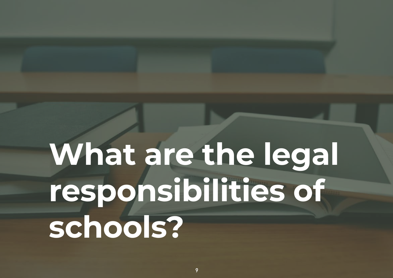### **What are the legal responsibilities of schools?**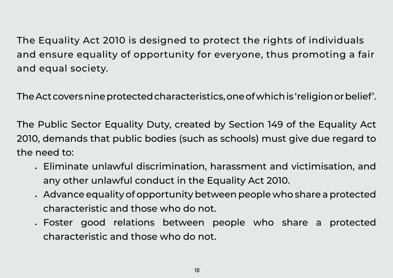The Equality Act 2010 is designed to protect the rights of individuals and ensure equality of opportunity for everyone, thus promoting a fair and equal society.

The Act covers nine protected characteristics, one of which is 'religion or belief'.

The Public Sector Equality Duty, created by Section 149 of the Equality Act 2010, demands that public bodies (such as schools) must give due regard to the need to:

- Eliminate unlawful discrimination, harassment and victimisation, and any other unlawful conduct in the Equality Act 2010.
- Advance equality of opportunity between people who share a protected characteristic and those who do not.
- Foster good relations between people who share a protected characteristic and those who do not.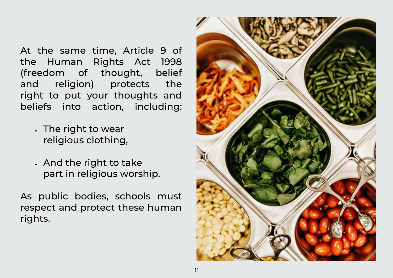At the same time, Article 9 of the Human Rights Act 1998 (freedom of thought, belief and religion) protects the right to put your thoughts and beliefs into action, including:

- The right to wear religious clothing,
- And the right to take part in religious worship.

As public bodies, schools must respect and protect these human rights.

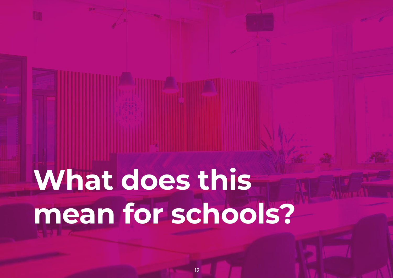# **What does this mean for schools?**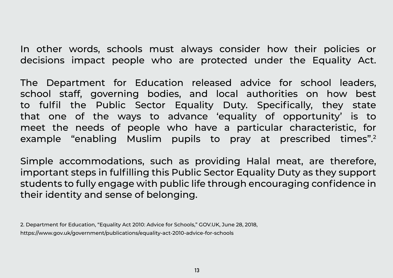In other words, schools must always consider how their policies or decisions impact people who are protected under the Equality Act.

The Department for Education released advice for school leaders, school staff, governing bodies, and local authorities on how best to fulfil the Public Sector Equality Duty. Specifically, they state that one of the ways to advance 'equality of opportunity' is to meet the needs of people who have a particular characteristic, for example "enabling Muslim pupils to pray at prescribed times".2

Simple accommodations, such as providing Halal meat, are therefore, important steps in fulfilling this Public Sector Equality Duty as they support students to fully engage with public life through encouraging confidence in their identity and sense of belonging.

2. Department for Education, "Equality Act 2010: Advice for Schools," GOV.UK, June 28, 2018, https://www.gov.uk/government/publications/equality-act-2010-advice-for-schools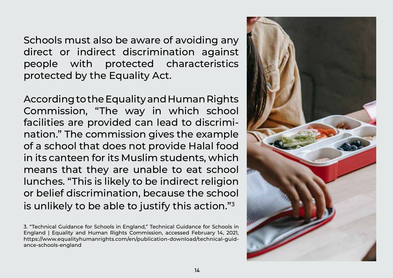Schools must also be aware of avoiding any direct or indirect discrimination against people with protected characteristics protected by the Equality Act.

According to the Equality and Human Rights Commission, "The way in which school facilities are provided can lead to discrimination." The commission gives the example of a school that does not provide Halal food in its canteen for its Muslim students, which means that they are unable to eat school lunches. "This is likely to be indirect religion or belief discrimination, because the school is unlikely to be able to justify this action."<sup>3</sup>

<sup>3. &</sup>quot;Technical Guidance for Schools in England," Technical Guidance for Schools in England | Equality and Human Rights Commission, accessed February 14, 2021, https://www.equalityhumanrights.com/en/publication-download/technical-guidance-schools-england

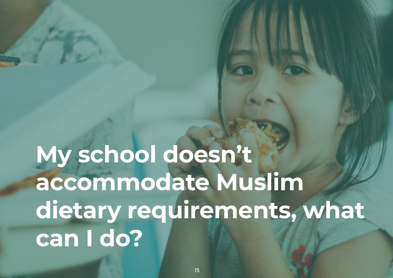#### **My school doesn't accommodate Muslim dietary requirements, what can I do?**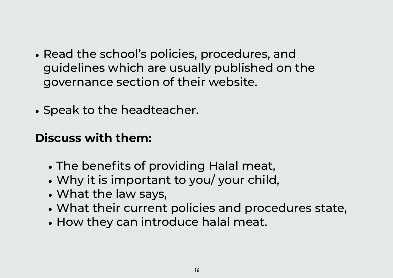- Read the school's policies, procedures, and guidelines which are usually published on the governance section of their website.
- Speak to the headteacher.

#### **Discuss with them:**

- The benefits of providing Halal meat,
- Why it is important to you/ your child,
- What the law says,
- What their current policies and procedures state,
- How they can introduce halal meat.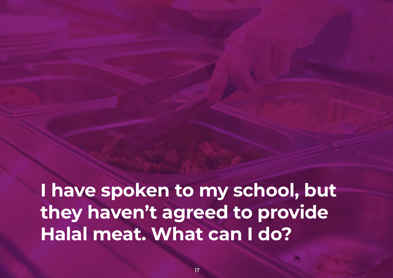**I have spoken to my school, but they haven't agreed to provide Halal meat. What can I do?**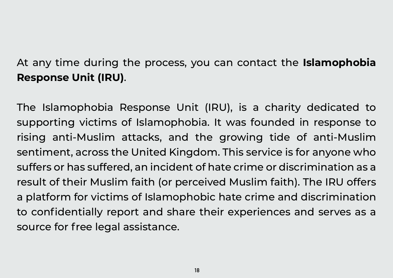#### At any time during the process, you can contact the **Islamophobia Response Unit (IRU)**.

The Islamophobia Response Unit (IRU), is a charity dedicated to supporting victims of Islamophobia. It was founded in response to rising anti-Muslim attacks, and the growing tide of anti-Muslim sentiment, across the United Kingdom. This service is for anyone who suffers or has suffered, an incident of hate crime or discrimination as a result of their Muslim faith (or perceived Muslim faith). The IRU offers a platform for victims of Islamophobic hate crime and discrimination to confidentially report and share their experiences and serves as a source for free legal assistance.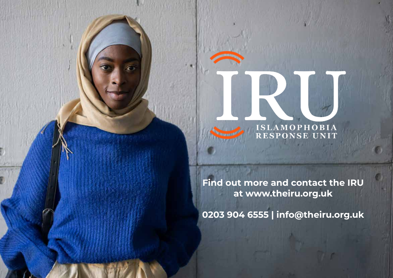

**Find out more and contact the IRU at www.theiru.org.uk**

**0203 904 6555 | info@theiru.org.uk**

**19**